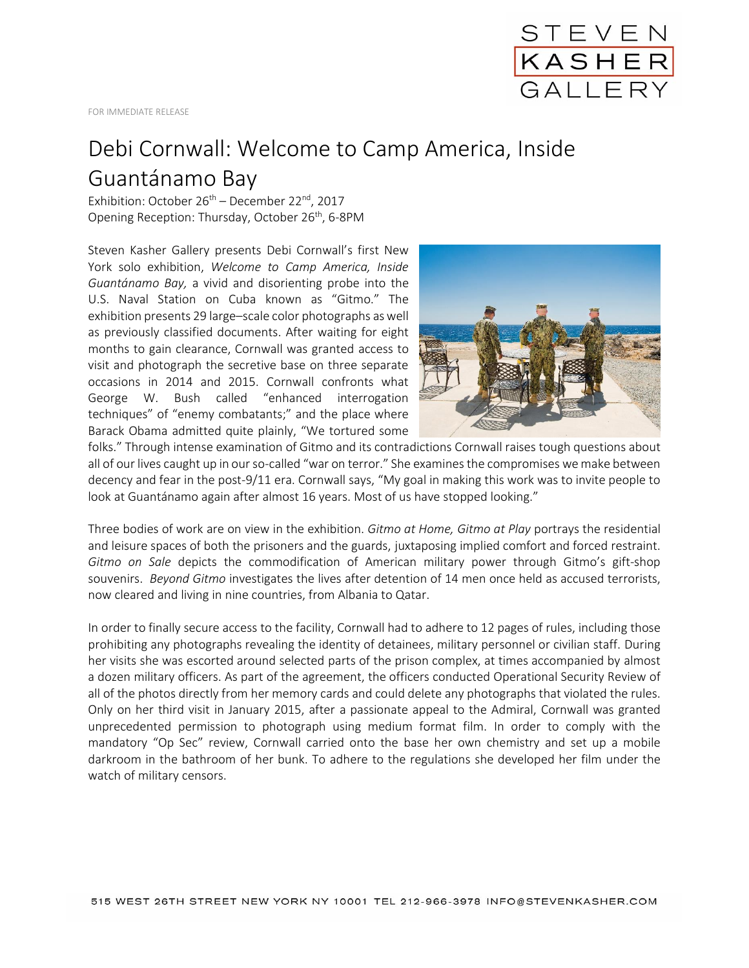

## Debi Cornwall: Welcome to Camp America, Inside Guantánamo Bay

Exhibition: October  $26<sup>th</sup>$  – December 22<sup>nd</sup>, 2017 Opening Reception: Thursday, October 26<sup>th</sup>, 6-8PM

Steven Kasher Gallery presents Debi Cornwall's first New York solo exhibition, *Welcome to Camp America, Inside Guantánamo Bay,* a vivid and disorienting probe into the U.S. Naval Station on Cuba known as "Gitmo." The exhibition presents 29 large–scale color photographs as well as previously classified documents. After waiting for eight months to gain clearance, Cornwall was granted access to visit and photograph the secretive base on three separate occasions in 2014 and 2015. Cornwall confronts what George W. Bush called "enhanced interrogation techniques" of "enemy combatants;" and the place where Barack Obama admitted quite plainly, "We tortured some



folks." Through intense examination of Gitmo and its contradictions Cornwall raises tough questions about all of our lives caught up in our so-called "war on terror." She examines the compromises we make between decency and fear in the post-9/11 era. Cornwall says, "My goal in making this work was to invite people to look at Guantánamo again after almost 16 years. Most of us have stopped looking."

Three bodies of work are on view in the exhibition. *Gitmo at Home, Gitmo at Play* portrays the residential and leisure spaces of both the prisoners and the guards, juxtaposing implied comfort and forced restraint. *Gitmo on Sale* depicts the commodification of American military power through Gitmo's gift-shop souvenirs. *Beyond Gitmo* investigates the lives after detention of 14 men once held as accused terrorists, now cleared and living in nine countries, from Albania to Qatar.

In order to finally secure access to the facility, Cornwall had to adhere to 12 pages of rules, including those prohibiting any photographs revealing the identity of detainees, military personnel or civilian staff. During her visits she was escorted around selected parts of the prison complex, at times accompanied by almost a dozen military officers. As part of the agreement, the officers conducted Operational Security Review of all of the photos directly from her memory cards and could delete any photographs that violated the rules. Only on her third visit in January 2015, after a passionate appeal to the Admiral, Cornwall was granted unprecedented permission to photograph using medium format film. In order to comply with the mandatory "Op Sec" review, Cornwall carried onto the base her own chemistry and set up a mobile darkroom in the bathroom of her bunk. To adhere to the regulations she developed her film under the watch of military censors.